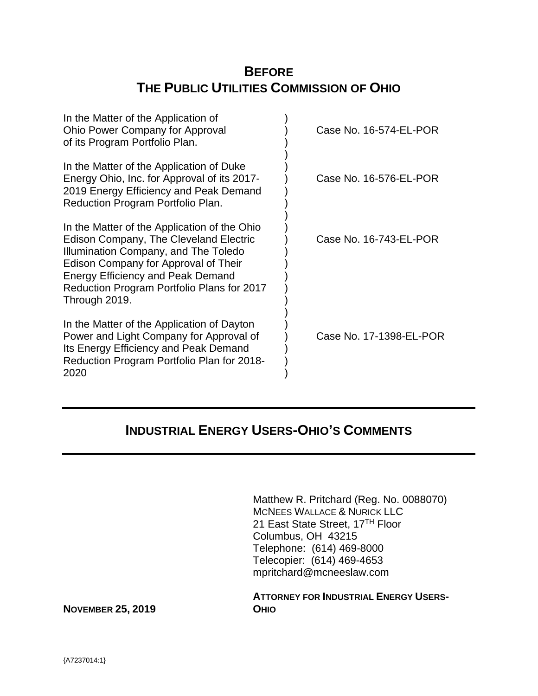# **BEFORE THE PUBLIC UTILITIES COMMISSION OF OHIO**

| In the Matter of the Application of<br>Ohio Power Company for Approval<br>of its Program Portfolio Plan.                                                                                                                                                                          | Case No. 16-574-EL-POR  |
|-----------------------------------------------------------------------------------------------------------------------------------------------------------------------------------------------------------------------------------------------------------------------------------|-------------------------|
| In the Matter of the Application of Duke<br>Energy Ohio, Inc. for Approval of its 2017-<br>2019 Energy Efficiency and Peak Demand<br>Reduction Program Portfolio Plan.                                                                                                            | Case No. 16-576-EL-POR  |
| In the Matter of the Application of the Ohio<br>Edison Company, The Cleveland Electric<br>Illumination Company, and The Toledo<br>Edison Company for Approval of Their<br><b>Energy Efficiency and Peak Demand</b><br>Reduction Program Portfolio Plans for 2017<br>Through 2019. | Case No. 16-743-EL-POR  |
| In the Matter of the Application of Dayton<br>Power and Light Company for Approval of<br>Its Energy Efficiency and Peak Demand<br>Reduction Program Portfolio Plan for 2018-<br>2020                                                                                              | Case No. 17-1398-EL-POR |

# **INDUSTRIAL ENERGY USERS-OHIO'S COMMENTS**

Matthew R. Pritchard (Reg. No. 0088070) MCNEES WALLACE & NURICK LLC 21 East State Street, 17<sup>TH</sup> Floor Columbus, OH 43215 Telephone: (614) 469-8000 Telecopier: (614) 469-4653 mpritchard@mcneeslaw.com

**ATTORNEY FOR INDUSTRIAL ENERGY USERS-**

**NOVEMBER 25, 2019 OHIO**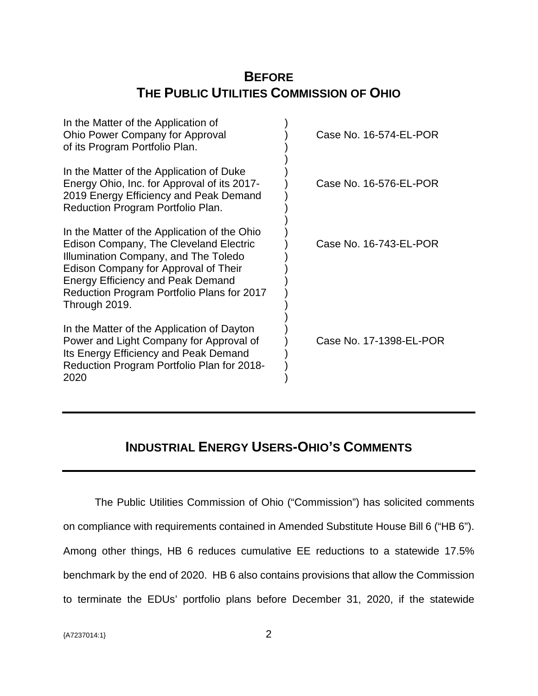# **BEFORE THE PUBLIC UTILITIES COMMISSION OF OHIO**

| In the Matter of the Application of<br>Ohio Power Company for Approval<br>of its Program Portfolio Plan.                                                                                                                                                                          | Case No. 16-574-EL-POR  |
|-----------------------------------------------------------------------------------------------------------------------------------------------------------------------------------------------------------------------------------------------------------------------------------|-------------------------|
| In the Matter of the Application of Duke<br>Energy Ohio, Inc. for Approval of its 2017-<br>2019 Energy Efficiency and Peak Demand<br>Reduction Program Portfolio Plan.                                                                                                            | Case No. 16-576-EL-POR  |
| In the Matter of the Application of the Ohio<br>Edison Company, The Cleveland Electric<br>Illumination Company, and The Toledo<br>Edison Company for Approval of Their<br><b>Energy Efficiency and Peak Demand</b><br>Reduction Program Portfolio Plans for 2017<br>Through 2019. | Case No. 16-743-EL-POR  |
| In the Matter of the Application of Dayton<br>Power and Light Company for Approval of<br>Its Energy Efficiency and Peak Demand<br>Reduction Program Portfolio Plan for 2018-<br>2020                                                                                              | Case No. 17-1398-EL-POR |

# **INDUSTRIAL ENERGY USERS-OHIO'S COMMENTS**

The Public Utilities Commission of Ohio ("Commission") has solicited comments on compliance with requirements contained in Amended Substitute House Bill 6 ("HB 6"). Among other things, HB 6 reduces cumulative EE reductions to a statewide 17.5% benchmark by the end of 2020. HB 6 also contains provisions that allow the Commission to terminate the EDUs' portfolio plans before December 31, 2020, if the statewide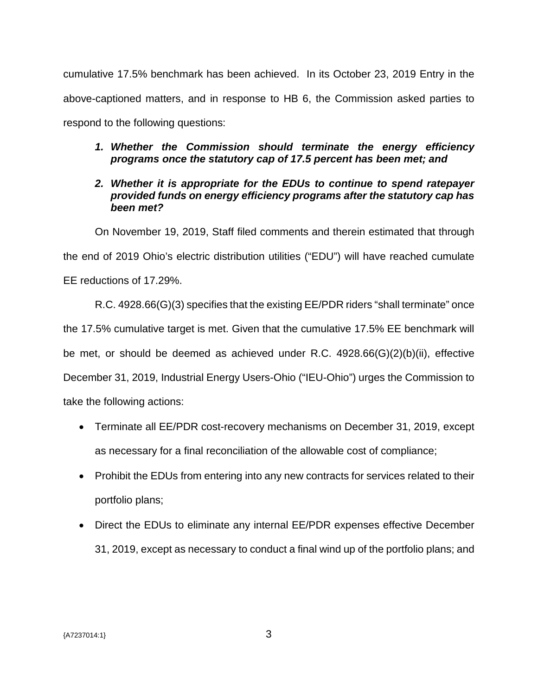cumulative 17.5% benchmark has been achieved. In its October 23, 2019 Entry in the above-captioned matters, and in response to HB 6, the Commission asked parties to respond to the following questions:

## *1. Whether the Commission should terminate the energy efficiency programs once the statutory cap of 17.5 percent has been met; and*

## *2. Whether it is appropriate for the EDUs to continue to spend ratepayer provided funds on energy efficiency programs after the statutory cap has been met?*

On November 19, 2019, Staff filed comments and therein estimated that through the end of 2019 Ohio's electric distribution utilities ("EDU") will have reached cumulate EE reductions of 17.29%.

R.C. 4928.66(G)(3) specifies that the existing EE/PDR riders "shall terminate" once the 17.5% cumulative target is met. Given that the cumulative 17.5% EE benchmark will be met, or should be deemed as achieved under R.C. 4928.66(G)(2)(b)(ii), effective December 31, 2019, Industrial Energy Users-Ohio ("IEU-Ohio") urges the Commission to take the following actions:

- Terminate all EE/PDR cost-recovery mechanisms on December 31, 2019, except as necessary for a final reconciliation of the allowable cost of compliance;
- Prohibit the EDUs from entering into any new contracts for services related to their portfolio plans;
- Direct the EDUs to eliminate any internal EE/PDR expenses effective December 31, 2019, except as necessary to conduct a final wind up of the portfolio plans; and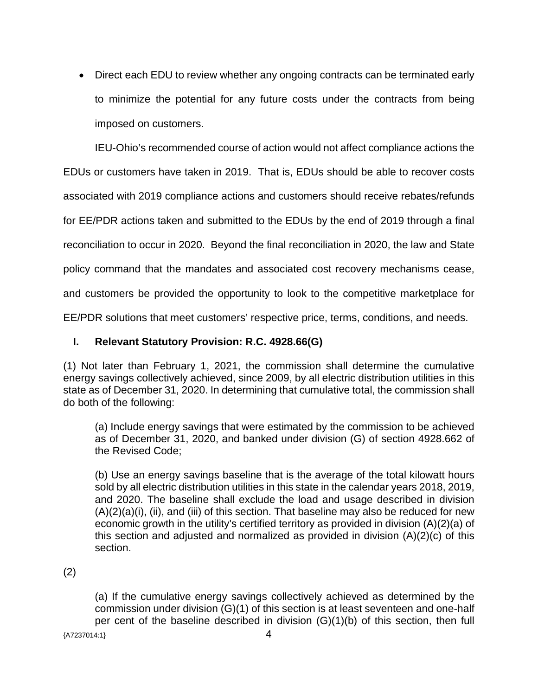Direct each EDU to review whether any ongoing contracts can be terminated early to minimize the potential for any future costs under the contracts from being imposed on customers.

IEU-Ohio's recommended course of action would not affect compliance actions the

EDUs or customers have taken in 2019. That is, EDUs should be able to recover costs

associated with 2019 compliance actions and customers should receive rebates/refunds

for EE/PDR actions taken and submitted to the EDUs by the end of 2019 through a final

reconciliation to occur in 2020. Beyond the final reconciliation in 2020, the law and State

policy command that the mandates and associated cost recovery mechanisms cease,

and customers be provided the opportunity to look to the competitive marketplace for

EE/PDR solutions that meet customers' respective price, terms, conditions, and needs.

## **I. Relevant Statutory Provision: R.C. 4928.66(G)**

(1) Not later than February 1, 2021, the commission shall determine the cumulative energy savings collectively achieved, since 2009, by all electric distribution utilities in this state as of December 31, 2020. In determining that cumulative total, the commission shall do both of the following:

(a) Include energy savings that were estimated by the commission to be achieved as of December 31, 2020, and banked under division (G) of section 4928.662 of the Revised Code;

(b) Use an energy savings baseline that is the average of the total kilowatt hours sold by all electric distribution utilities in this state in the calendar years 2018, 2019, and 2020. The baseline shall exclude the load and usage described in division  $(A)(2)(a)(i)$ , (ii), and (iii) of this section. That baseline may also be reduced for new economic growth in the utility's certified territory as provided in division (A)(2)(a) of this section and adjusted and normalized as provided in division (A)(2)(c) of this section.

(2)

(a) If the cumulative energy savings collectively achieved as determined by the commission under division (G)(1) of this section is at least seventeen and one-half per cent of the baseline described in division (G)(1)(b) of this section, then full

 ${47237014:1}$  4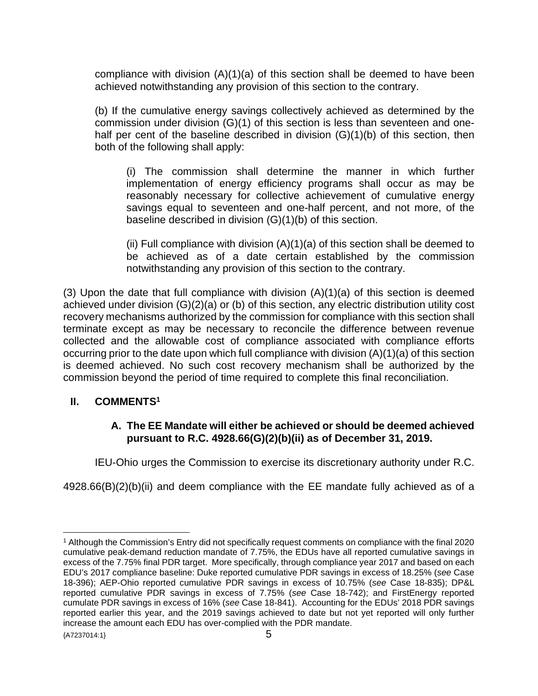compliance with division  $(A)(1)(a)$  of this section shall be deemed to have been achieved notwithstanding any provision of this section to the contrary.

(b) If the cumulative energy savings collectively achieved as determined by the commission under division (G)(1) of this section is less than seventeen and onehalf per cent of the baseline described in division (G)(1)(b) of this section, then both of the following shall apply:

(i) The commission shall determine the manner in which further implementation of energy efficiency programs shall occur as may be reasonably necessary for collective achievement of cumulative energy savings equal to seventeen and one-half percent, and not more, of the baseline described in division (G)(1)(b) of this section.

(ii) Full compliance with division (A)(1)(a) of this section shall be deemed to be achieved as of a date certain established by the commission notwithstanding any provision of this section to the contrary.

(3) Upon the date that full compliance with division (A)(1)(a) of this section is deemed achieved under division (G)(2)(a) or (b) of this section, any electric distribution utility cost recovery mechanisms authorized by the commission for compliance with this section shall terminate except as may be necessary to reconcile the difference between revenue collected and the allowable cost of compliance associated with compliance efforts occurring prior to the date upon which full compliance with division (A)(1)(a) of this section is deemed achieved. No such cost recovery mechanism shall be authorized by the commission beyond the period of time required to complete this final reconciliation.

## **II. COMMENTS[1](#page-4-0)**

## **A. The EE Mandate will either be achieved or should be deemed achieved pursuant to R.C. 4928.66(G)(2)(b)(ii) as of December 31, 2019.**

IEU-Ohio urges the Commission to exercise its discretionary authority under R.C.

4928.66(B)(2)(b)(ii) and deem compliance with the EE mandate fully achieved as of a

<span id="page-4-0"></span><sup>1</sup> Although the Commission's Entry did not specifically request comments on compliance with the final 2020 cumulative peak-demand reduction mandate of 7.75%, the EDUs have all reported cumulative savings in excess of the 7.75% final PDR target. More specifically, through compliance year 2017 and based on each EDU's 2017 compliance baseline: Duke reported cumulative PDR savings in excess of 18.25% (*see* Case 18-396); AEP-Ohio reported cumulative PDR savings in excess of 10.75% (*see* Case 18-835); DP&L reported cumulative PDR savings in excess of 7.75% (*see* Case 18-742); and FirstEnergy reported cumulate PDR savings in excess of 16% (*see* Case 18-841). Accounting for the EDUs' 2018 PDR savings reported earlier this year, and the 2019 savings achieved to date but not yet reported will only further increase the amount each EDU has over-complied with the PDR mandate.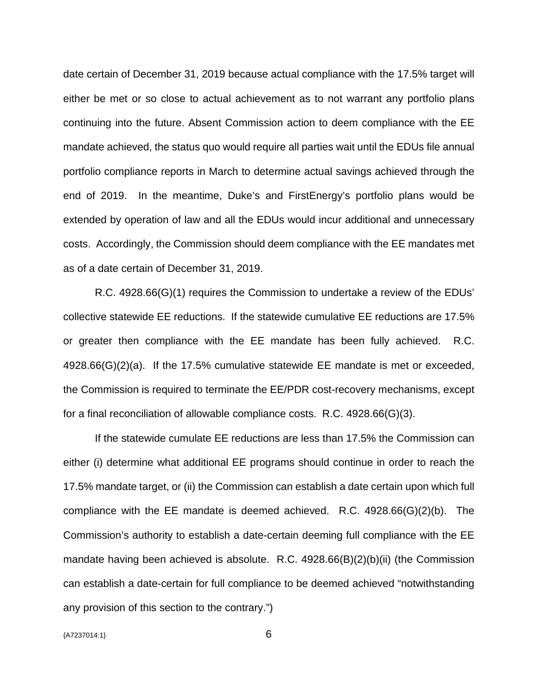date certain of December 31, 2019 because actual compliance with the 17.5% target will either be met or so close to actual achievement as to not warrant any portfolio plans continuing into the future. Absent Commission action to deem compliance with the EE mandate achieved, the status quo would require all parties wait until the EDUs file annual portfolio compliance reports in March to determine actual savings achieved through the end of 2019. In the meantime, Duke's and FirstEnergy's portfolio plans would be extended by operation of law and all the EDUs would incur additional and unnecessary costs. Accordingly, the Commission should deem compliance with the EE mandates met as of a date certain of December 31, 2019.

R.C. 4928.66(G)(1) requires the Commission to undertake a review of the EDUs' collective statewide EE reductions. If the statewide cumulative EE reductions are 17.5% or greater then compliance with the EE mandate has been fully achieved. R.C. 4928.66(G)(2)(a). If the 17.5% cumulative statewide EE mandate is met or exceeded, the Commission is required to terminate the EE/PDR cost-recovery mechanisms, except for a final reconciliation of allowable compliance costs. R.C. 4928.66(G)(3).

If the statewide cumulate EE reductions are less than 17.5% the Commission can either (i) determine what additional EE programs should continue in order to reach the 17.5% mandate target, or (ii) the Commission can establish a date certain upon which full compliance with the EE mandate is deemed achieved. R.C. 4928.66(G)(2)(b). The Commission's authority to establish a date-certain deeming full compliance with the EE mandate having been achieved is absolute. R.C. 4928.66(B)(2)(b)(ii) (the Commission can establish a date-certain for full compliance to be deemed achieved "notwithstanding any provision of this section to the contrary.")

{A7237014:1} 6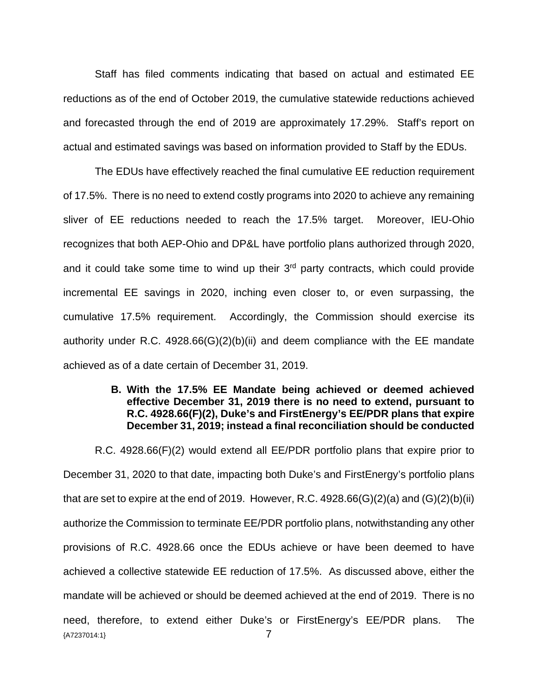Staff has filed comments indicating that based on actual and estimated EE reductions as of the end of October 2019, the cumulative statewide reductions achieved and forecasted through the end of 2019 are approximately 17.29%. Staff's report on actual and estimated savings was based on information provided to Staff by the EDUs.

The EDUs have effectively reached the final cumulative EE reduction requirement of 17.5%. There is no need to extend costly programs into 2020 to achieve any remaining sliver of EE reductions needed to reach the 17.5% target. Moreover, IEU-Ohio recognizes that both AEP-Ohio and DP&L have portfolio plans authorized through 2020, and it could take some time to wind up their 3<sup>rd</sup> party contracts, which could provide incremental EE savings in 2020, inching even closer to, or even surpassing, the cumulative 17.5% requirement. Accordingly, the Commission should exercise its authority under R.C. 4928.66(G)(2)(b)(ii) and deem compliance with the EE mandate achieved as of a date certain of December 31, 2019.

## **B. With the 17.5% EE Mandate being achieved or deemed achieved effective December 31, 2019 there is no need to extend, pursuant to R.C. 4928.66(F)(2), Duke's and FirstEnergy's EE/PDR plans that expire December 31, 2019; instead a final reconciliation should be conducted**

{A7237014:1} 7 R.C. 4928.66(F)(2) would extend all EE/PDR portfolio plans that expire prior to December 31, 2020 to that date, impacting both Duke's and FirstEnergy's portfolio plans that are set to expire at the end of 2019. However, R.C.  $4928.66(G)(2)(a)$  and  $(G)(2)(b)(ii)$ authorize the Commission to terminate EE/PDR portfolio plans, notwithstanding any other provisions of R.C. 4928.66 once the EDUs achieve or have been deemed to have achieved a collective statewide EE reduction of 17.5%. As discussed above, either the mandate will be achieved or should be deemed achieved at the end of 2019. There is no need, therefore, to extend either Duke's or FirstEnergy's EE/PDR plans. The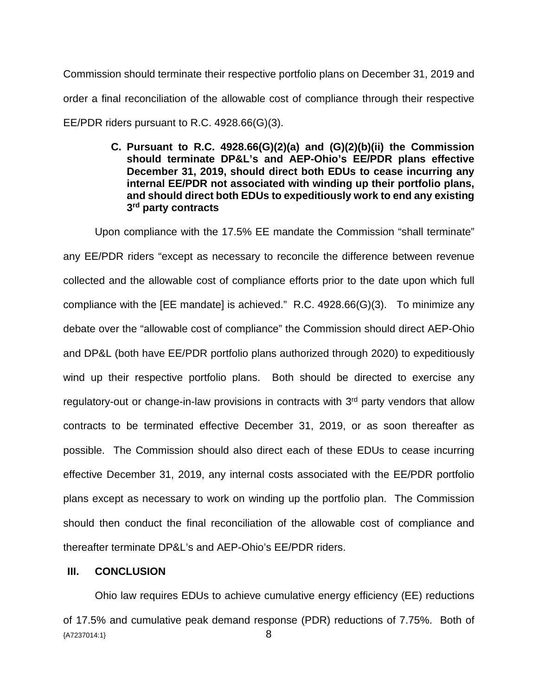Commission should terminate their respective portfolio plans on December 31, 2019 and order a final reconciliation of the allowable cost of compliance through their respective EE/PDR riders pursuant to R.C. 4928.66(G)(3).

> **C. Pursuant to R.C. 4928.66(G)(2)(a) and (G)(2)(b)(ii) the Commission should terminate DP&L's and AEP-Ohio's EE/PDR plans effective December 31, 2019, should direct both EDUs to cease incurring any internal EE/PDR not associated with winding up their portfolio plans, and should direct both EDUs to expeditiously work to end any existing 3 rd party contracts**

Upon compliance with the 17.5% EE mandate the Commission "shall terminate" any EE/PDR riders "except as necessary to reconcile the difference between revenue collected and the allowable cost of compliance efforts prior to the date upon which full compliance with the [EE mandate] is achieved." R.C. 4928.66(G)(3). To minimize any debate over the "allowable cost of compliance" the Commission should direct AEP-Ohio and DP&L (both have EE/PDR portfolio plans authorized through 2020) to expeditiously wind up their respective portfolio plans. Both should be directed to exercise any regulatory-out or change-in-law provisions in contracts with  $3<sup>rd</sup>$  party vendors that allow contracts to be terminated effective December 31, 2019, or as soon thereafter as possible. The Commission should also direct each of these EDUs to cease incurring effective December 31, 2019, any internal costs associated with the EE/PDR portfolio plans except as necessary to work on winding up the portfolio plan. The Commission should then conduct the final reconciliation of the allowable cost of compliance and thereafter terminate DP&L's and AEP-Ohio's EE/PDR riders.

## **III. CONCLUSION**

 ${A7237014:1}$  8 Ohio law requires EDUs to achieve cumulative energy efficiency (EE) reductions of 17.5% and cumulative peak demand response (PDR) reductions of 7.75%. Both of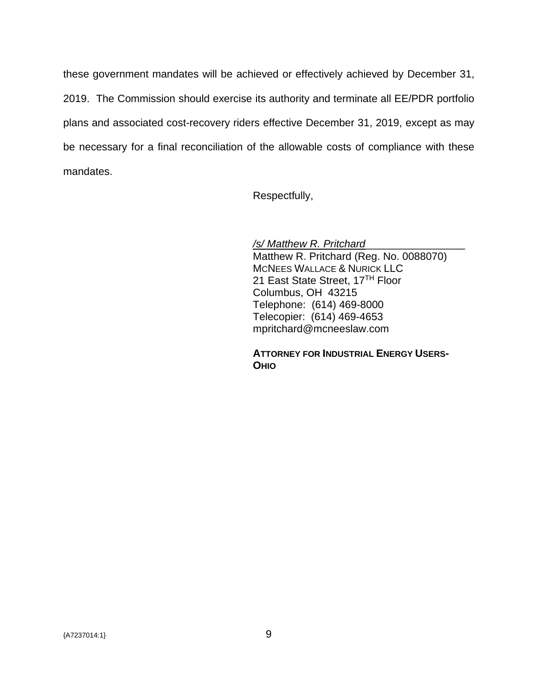these government mandates will be achieved or effectively achieved by December 31, 2019. The Commission should exercise its authority and terminate all EE/PDR portfolio plans and associated cost-recovery riders effective December 31, 2019, except as may be necessary for a final reconciliation of the allowable costs of compliance with these mandates.

Respectfully,

*/s/ Matthew R. Pritchard*\_\_\_\_\_\_\_\_\_\_\_\_\_\_\_\_\_ Matthew R. Pritchard (Reg. No. 0088070) MCNEES WALLACE & NURICK LLC 21 East State Street, 17TH Floor Columbus, OH 43215 Telephone: (614) 469-8000 Telecopier: (614) 469-4653 mpritchard@mcneeslaw.com

**ATTORNEY FOR INDUSTRIAL ENERGY USERS-OHIO**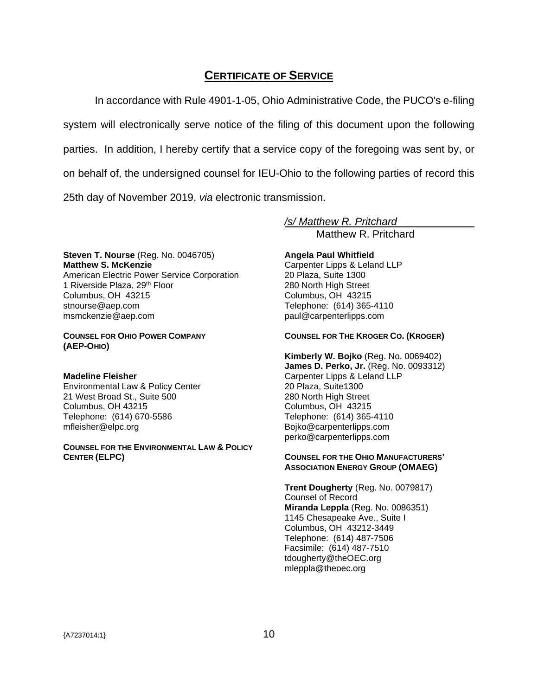# **CERTIFICATE OF SERVICE**

In accordance with Rule 4901-1-05, Ohio Administrative Code, the PUCO's e-filing system will electronically serve notice of the filing of this document upon the following parties. In addition, I hereby certify that a service copy of the foregoing was sent by, or on behalf of, the undersigned counsel for IEU-Ohio to the following parties of record this 25th day of November 2019, *via* electronic transmission.

**Steven T. Nourse** (Reg. No. 0046705) **Matthew S. McKenzie**  American Electric Power Service Corporation 1 Riverside Plaza, 29<sup>th</sup> Floor Columbus, OH 43215 [stnourse@aep.com](mailto:stnourse@aep.com)  msmckenzie@aep.com

## **COUNSEL FOR OHIO POWER COMPANY (AEP-OHIO)**

## **Madeline Fleisher**

Environmental Law & Policy Center 21 West Broad St., Suite 500 Columbus, OH 43215 Telephone: (614) 670-5586 mfleisher@elpc.org

**COUNSEL FOR THE ENVIRONMENTAL LAW & POLICY CENTER (ELPC)** 

*/s/ Matthew R. Pritchard*  Matthew R. Pritchard

## **Angela Paul Whitfield**

Carpenter Lipps & Leland LLP 20 Plaza, Suite 1300 280 North High Street Columbus, OH 43215 Telephone: (614) 365-4110 paul@carpenterlipps.com

**COUNSEL FOR THE KROGER CO. (KROGER)** 

**Kimberly W. Bojko** (Reg. No. 0069402) **James D. Perko, Jr.** (Reg. No. 0093312) Carpenter Lipps & Leland LLP 20 Plaza, Suite1300 280 North High Street Columbus, OH 43215 Telephone: (614) 365-4110 Bojko@carpenterlipps.com perko@carpenterlipps.com

## **COUNSEL FOR THE OHIO MANUFACTURERS' ASSOCIATION ENERGY GROUP (OMAEG)**

**Trent Dougherty** (Reg. No. 0079817) Counsel of Record **Miranda Leppla** (Reg. No. 0086351) 1145 Chesapeake Ave., Suite I Columbus, OH 43212-3449 Telephone: (614) 487-7506 Facsimile: (614) 487-7510 tdougherty@theOEC.org mleppla@theoec.org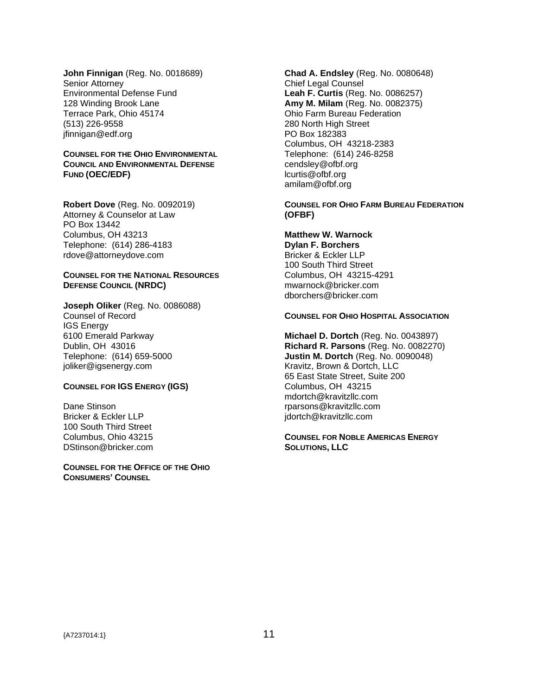**John Finnigan** (Reg. No. 0018689) Senior Attorney Environmental Defense Fund 128 Winding Brook Lane Terrace Park, Ohio 45174 (513) 226-9558 jfinnigan@edf.org

## **COUNSEL FOR THE OHIO ENVIRONMENTAL COUNCIL AND ENVIRONMENTAL DEFENSE FUND (OEC/EDF)**

**Robert Dove** (Reg. No. 0092019) Attorney & Counselor at Law PO Box 13442 Columbus, OH 43213 Telephone: (614) 286-4183 rdove@attorneydove.com

## **COUNSEL FOR THE NATIONAL RESOURCES DEFENSE COUNCIL (NRDC)**

**Joseph Oliker** (Reg. No. 0086088) Counsel of Record IGS Energy 6100 Emerald Parkway Dublin, OH 43016 Telephone: (614) 659-5000 joliker@igsenergy.com

## **COUNSEL FOR IGS ENERGY (IGS)**

Dane Stinson Bricker & Eckler LLP 100 South Third Street Columbus, Ohio 43215 DStinson@bricker.com

**COUNSEL FOR THE OFFICE OF THE OHIO CONSUMERS' COUNSEL**

**Chad A. Endsley** (Reg. No. 0080648) Chief Legal Counsel **Leah F. Curtis** (Reg. No. 0086257) **Amy M. Milam** (Reg. No. 0082375) Ohio Farm Bureau Federation 280 North High Street PO Box 182383 Columbus, OH 43218-2383 Telephone: (614) 246-8258 cendsley@ofbf.org lcurtis@ofbf.org amilam@ofbf.org

**COUNSEL FOR OHIO FARM BUREAU FEDERATION (OFBF)** 

## **Matthew W. Warnock**

**Dylan F. Borchers**  Bricker & Eckler LLP 100 South Third Street Columbus, OH 43215-4291 mwarnock@bricker.com dborchers@bricker.com

### **COUNSEL FOR OHIO HOSPITAL ASSOCIATION**

**Michael D. Dortch** (Reg. No. 0043897) **Richard R. Parsons** (Reg. No. 0082270) **Justin M. Dortch** (Reg. No. 0090048) Kravitz, Brown & Dortch, LLC 65 East State Street, Suite 200 Columbus, OH 43215 mdortch@kravitzllc.com rparsons@kravitzllc.com jdortch@kravitzllc.com

**COUNSEL FOR NOBLE AMERICAS ENERGY SOLUTIONS, LLC**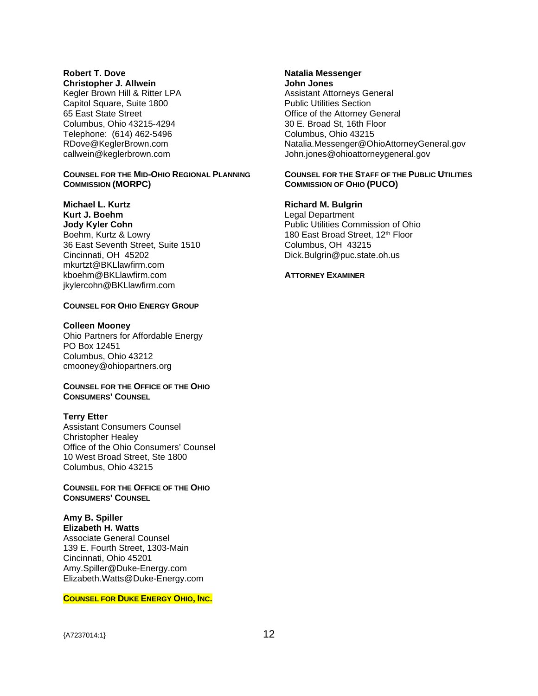## **Robert T. Dove**

**Christopher J. Allwein** 

Kegler Brown Hill & Ritter LPA Capitol Square, Suite 1800 65 East State Street Columbus, Ohio 43215-4294 Telephone: (614) 462-5496 RDove@KeglerBrown.com callwein@keglerbrown.com

#### **COUNSEL FOR THE MID-OHIO REGIONAL PLANNING COMMISSION (MORPC)**

**Michael L. Kurtz Kurt J. Boehm Jody Kyler Cohn**  Boehm, Kurtz & Lowry 36 East Seventh Street, Suite 1510 Cincinnati, OH 45202 mkurtzt@BKLlawfirm.com kboehm@BKLlawfirm.com jkylercohn@BKLlawfirm.com

### **COUNSEL FOR OHIO ENERGY GROUP**

#### **Colleen Mooney**

Ohio Partners for Affordable Energy PO Box 12451 Columbus, Ohio 43212 cmooney@ohiopartners.org

## **COUNSEL FOR THE OFFICE OF THE OHIO CONSUMERS' COUNSEL**

### **Terry Etter**

Assistant Consumers Counsel Christopher Healey Office of the Ohio Consumers' Counsel 10 West Broad Street, Ste 1800 Columbus, Ohio 43215

## **COUNSEL FOR THE OFFICE OF THE OHIO CONSUMERS' COUNSEL**

**Amy B. Spiller Elizabeth H. Watts**  Associate General Counsel 139 E. Fourth Street, 1303-Main Cincinnati, Ohio 45201 Amy.Spiller@Duke-Energy.com Elizabeth.Watts@Duke-Energy.com

#### **COUNSEL FOR DUKE ENERGY OHIO, INC.**

**John Jones**  Assistant Attorneys General Public Utilities Section Office of the Attorney General 30 E. Broad St, 16th Floor Columbus, Ohio 43215 Natalia.Messenger@OhioAttorneyGeneral.gov John.jones@ohioattorneygeneral.gov

### **COUNSEL FOR THE STAFF OF THE PUBLIC UTILITIES COMMISSION OF OHIO (PUCO)**

### **Richard M. Bulgrin**

Legal Department Public Utilities Commission of Ohio 180 East Broad Street, 12<sup>th</sup> Floor Columbus, OH 43215 [Dick.Bulgrin@puc.state.oh.us](mailto:Dick.Bulgrin@puc.state.oh.us)

### **ATTORNEY EXAMINER**